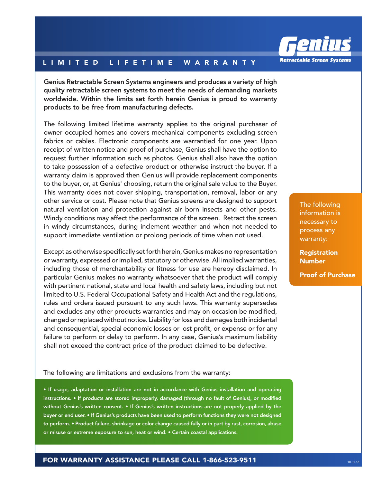

## LIMITED LIFETIME WARRANTY

Genius Retractable Screen Systems engineers and produces a variety of high quality retractable screen systems to meet the needs of demanding markets worldwide. Within the limits set forth herein Genius is proud to warranty products to be free from manufacturing defects.

The following limited lifetime warranty applies to the original purchaser of owner occupied homes and covers mechanical components excluding screen fabrics or cables. Electronic components are warrantied for one year. Upon receipt of written notice and proof of purchase, Genius shall have the option to request further information such as photos. Genius shall also have the option to take possession of a defective product or otherwise instruct the buyer. If a warranty claim is approved then Genius will provide replacement components to the buyer, or, at Genius' choosing, return the original sale value to the Buyer. This warranty does not cover shipping, transportation, removal, labor or any other service or cost. Please note that Genius screens are designed to support natural ventilation and protection against air born insects and other pests. Windy conditions may affect the performance of the screen. Retract the screen in windy circumstances, during inclement weather and when not needed to support immediate ventilation or prolong periods of time when not used.

Except as otherwise specifically set forth herein, Genius makes no representation or warranty, expressed or implied, statutory or otherwise. All implied warranties, including those of merchantability or fitness for use are hereby disclaimed. In particular Genius makes no warranty whatsoever that the product will comply with pertinent national, state and local health and safety laws, including but not limited to U.S. Federal Occupational Safety and Health Act and the regulations, rules and orders issued pursuant to any such laws. This warranty supersedes and excludes any other products warranties and may on occasion be modified, changed or replaced without notice. Liability for loss and damages both incidental and consequential, special economic losses or lost profit, or expense or for any failure to perform or delay to perform. In any case, Genius's maximum liability shall not exceed the contract price of the product claimed to be defective.

## The following are limitations and exclusions from the warranty:

• If usage, adaptation or installation are not in accordance with Genius installation and operating instructions. • If products are stored improperly, damaged (through no fault of Genius), or modified without Genius's written consent. • If Genius's written instructions are not properly applied by the buyer or end user. • If Genius's products have been used to perform functions they were not designed to perform. • Product failure, shrinkage or color change caused fully or in part by rust, corrosion, abuse or misuse or extreme exposure to sun, heat or wind. • Certain coastal applications.

The following information is necessary to process any warranty:

**Registration** Number

Proof of Purchase